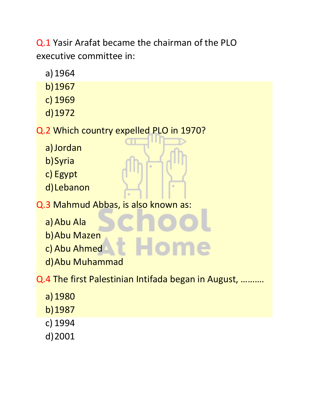Q.1 Yasir Arafat became the chairman of the PLO executive committee in:

- a)1964
- b)1967
- c) 1969
- d)1972

Q.2 Which country expelled PLO in 1970?

- a)Jordan
- b)Syria
- c) Egypt
- d)Lebanon

Q.3 Mahmud Abbas, is also known as:

- a)Abu Ala
- b)Abu Mazen
- c) Abu Ahmed
- d)Abu Muhammad

Q.4 The first Palestinian Intifada began in August, ……….

- a)1980 b)1987 c) 1994
- d)2001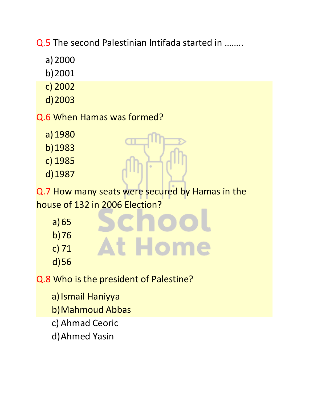Q.5 The second Palestinian Intifada started in ……..

- a)2000
- b)2001
- c) 2002
- d)2003
- Q.6 When Hamas was formed?
	- a)1980
	- b)1983
	- c) 1985
	- d)1987

Q.7 How many seats were secured by Hamas in the house of 132 in 2006 Election?

**At Home** 

- a)65
- b)76
- c) 71
- d)56

Q.8 Who is the president of Palestine?

- a) Ismail Haniyya
- b)Mahmoud Abbas
- c) Ahmad Ceoric
- d)Ahmed Yasin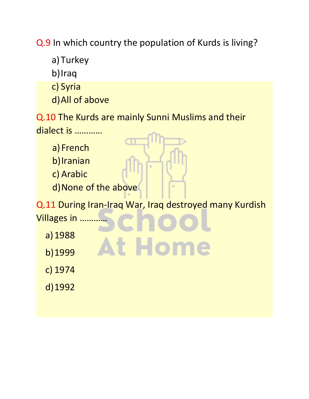Q.9 In which country the population of Kurds is living?

a)Turkey

b)Iraq

c) Syria

d)All of above

Q.10 The Kurds are mainly Sunni Muslims and their dialect is …………

a) French

b)Iranian

c) Arabic

d) None of the above

Q.11 During Iran-Iraq War, Iraq destroyed many Kurdish Villages in …………

At Hom

- a)1988
- b)1999

c) 1974

d)1992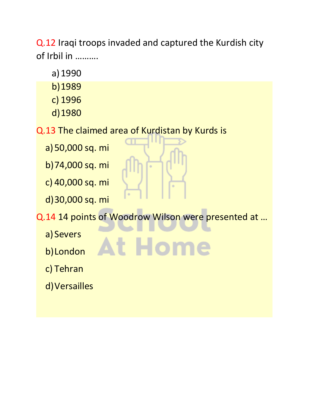Q.12 Iraqi troops invaded and captured the Kurdish city of Irbil in ……….

- a)1990
- b)1989
- c) 1996
- d)1980

Q.13 The claimed area of Kurdistan by Kurds is

- a)50,000 sq. mi
- b)74,000 sq. mi
- c) 40,000 sq. mi
- d)30,000 sq. mi

Q.14 14 points of Woodrow Wilson were presented at …

At Hom

- a) Severs
- b)London
- c) Tehran
- d)Versailles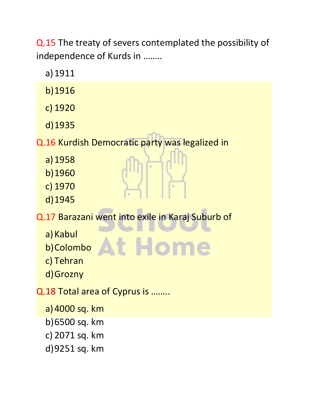Q.15 The treaty of severs contemplated the possibility of independence of Kurds in ……..

- a)1911
- b)1916
- c) 1920
- d)1935

Q.16 Kurdish Democratic party was legalized in

- a)1958
- b)1960
- c) 1970
- d)1945

Q.17 Barazani went into exile in Karaj Suburb of

At Hom

- a) Kabul
- b)Colombo
- c) Tehran
- d)Grozny

Q.18 Total area of Cyprus is ……..

- a)4000 sq. km
- b)6500 sq. km
- c) 2071 sq. km
- d)9251 sq. km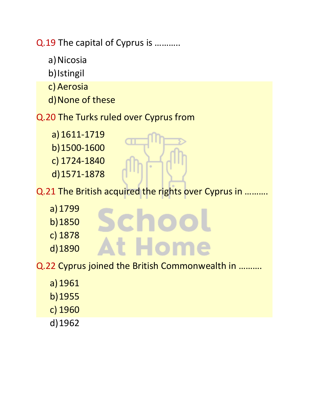Q.19 The capital of Cyprus is ………..

- a) Nicosia
- b)Istingil
- c) Aerosia
- d)None of these

## Q.20 The Turks ruled over Cyprus from

- a)1611-1719 b)1500-1600 c) 1724-1840 d)1571-1878
- Q.21 The British acquired the rights over Cyprus in ..........
	- a)1799
	- b)1850
	- c) 1878
	- d)1890
- **At Hom**

Schoc

- Q.22 Cyprus joined the British Commonwealth in ……….
	- a)1961
	- b)1955
	- c) 1960
	- d)1962